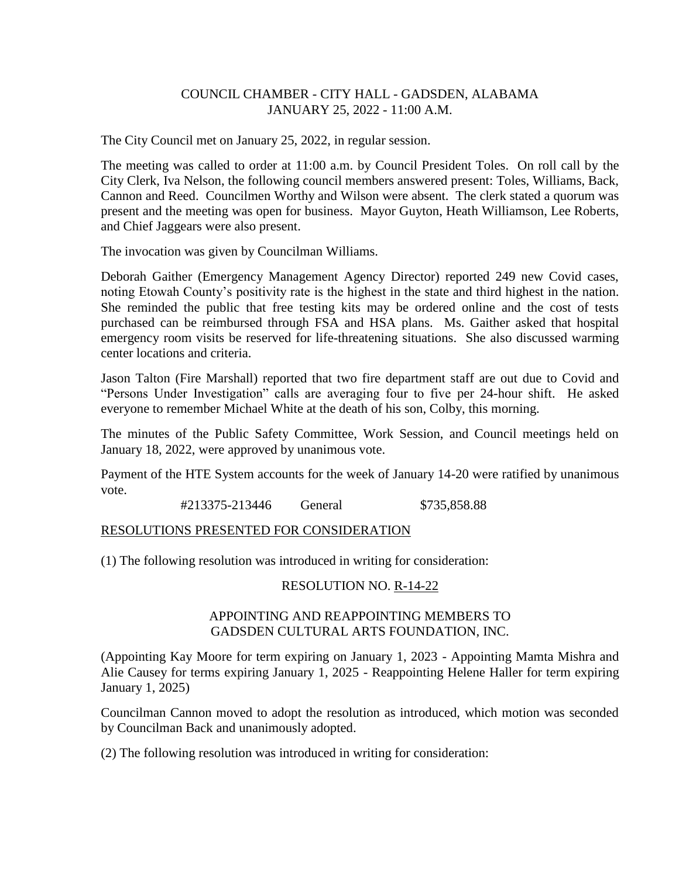## COUNCIL CHAMBER - CITY HALL - GADSDEN, ALABAMA JANUARY 25, 2022 - 11:00 A.M.

The City Council met on January 25, 2022, in regular session.

The meeting was called to order at 11:00 a.m. by Council President Toles. On roll call by the City Clerk, Iva Nelson, the following council members answered present: Toles, Williams, Back, Cannon and Reed. Councilmen Worthy and Wilson were absent. The clerk stated a quorum was present and the meeting was open for business. Mayor Guyton, Heath Williamson, Lee Roberts, and Chief Jaggears were also present.

The invocation was given by Councilman Williams.

Deborah Gaither (Emergency Management Agency Director) reported 249 new Covid cases, noting Etowah County's positivity rate is the highest in the state and third highest in the nation. She reminded the public that free testing kits may be ordered online and the cost of tests purchased can be reimbursed through FSA and HSA plans. Ms. Gaither asked that hospital emergency room visits be reserved for life-threatening situations. She also discussed warming center locations and criteria.

Jason Talton (Fire Marshall) reported that two fire department staff are out due to Covid and "Persons Under Investigation" calls are averaging four to five per 24-hour shift. He asked everyone to remember Michael White at the death of his son, Colby, this morning.

The minutes of the Public Safety Committee, Work Session, and Council meetings held on January 18, 2022, were approved by unanimous vote.

Payment of the HTE System accounts for the week of January 14-20 were ratified by unanimous vote.

#213375-213446 General \$735,858.88

#### RESOLUTIONS PRESENTED FOR CONSIDERATION

(1) The following resolution was introduced in writing for consideration:

#### RESOLUTION NO. R-14-22

### APPOINTING AND REAPPOINTING MEMBERS TO GADSDEN CULTURAL ARTS FOUNDATION, INC.

(Appointing Kay Moore for term expiring on January 1, 2023 - Appointing Mamta Mishra and Alie Causey for terms expiring January 1, 2025 - Reappointing Helene Haller for term expiring January 1, 2025)

Councilman Cannon moved to adopt the resolution as introduced, which motion was seconded by Councilman Back and unanimously adopted.

(2) The following resolution was introduced in writing for consideration: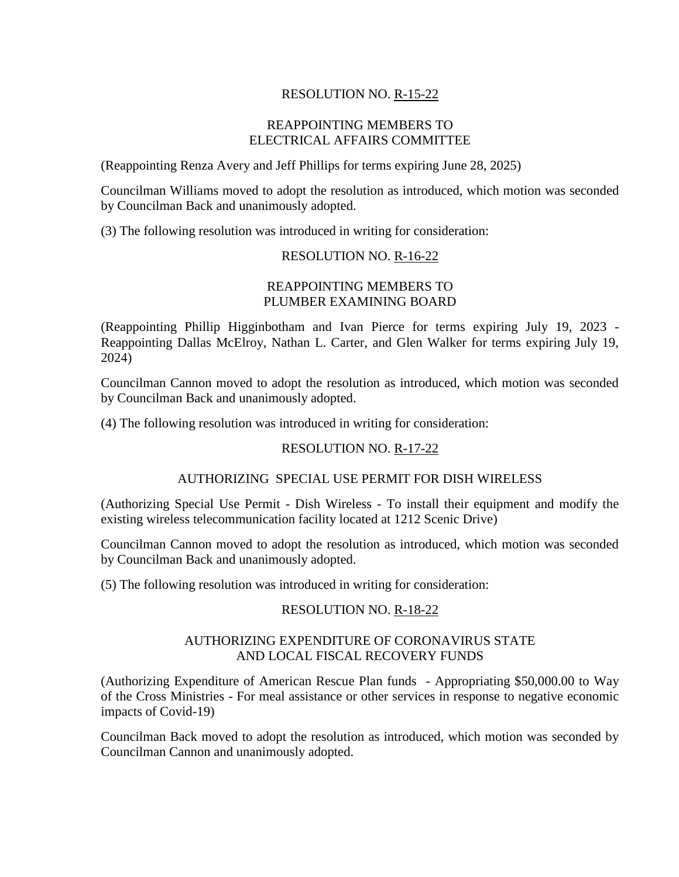# RESOLUTION NO. R-15-22

### REAPPOINTING MEMBERS TO ELECTRICAL AFFAIRS COMMITTEE

(Reappointing Renza Avery and Jeff Phillips for terms expiring June 28, 2025)

Councilman Williams moved to adopt the resolution as introduced, which motion was seconded by Councilman Back and unanimously adopted.

(3) The following resolution was introduced in writing for consideration:

#### RESOLUTION NO. R-16-22

## REAPPOINTING MEMBERS TO PLUMBER EXAMINING BOARD

(Reappointing Phillip Higginbotham and Ivan Pierce for terms expiring July 19, 2023 - Reappointing Dallas McElroy, Nathan L. Carter, and Glen Walker for terms expiring July 19, 2024)

Councilman Cannon moved to adopt the resolution as introduced, which motion was seconded by Councilman Back and unanimously adopted.

(4) The following resolution was introduced in writing for consideration:

#### RESOLUTION NO. R-17-22

### AUTHORIZING SPECIAL USE PERMIT FOR DISH WIRELESS

(Authorizing Special Use Permit - Dish Wireless - To install their equipment and modify the existing wireless telecommunication facility located at 1212 Scenic Drive)

Councilman Cannon moved to adopt the resolution as introduced, which motion was seconded by Councilman Back and unanimously adopted.

(5) The following resolution was introduced in writing for consideration:

#### RESOLUTION NO. R-18-22

#### AUTHORIZING EXPENDITURE OF CORONAVIRUS STATE AND LOCAL FISCAL RECOVERY FUNDS

(Authorizing Expenditure of American Rescue Plan funds - Appropriating \$50,000.00 to Way of the Cross Ministries - For meal assistance or other services in response to negative economic impacts of Covid-19)

Councilman Back moved to adopt the resolution as introduced, which motion was seconded by Councilman Cannon and unanimously adopted.